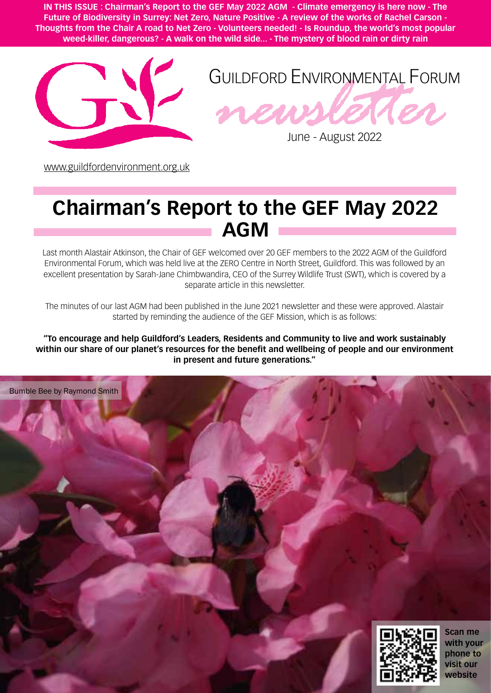**IN THIS ISSUE : Chairman's Report to the GEF May 2022 AGM - Climate emergency is here now - The Future of Biodiversity in Surrey: Net Zero, Nature Positive - A review of the works of Rachel Carson - Thoughts from the Chair A road to Net Zero - Volunteers needed! - Is Roundup, the world's most popular weed-killer, dangerous? - A walk on the wild side... - The mystery of blood rain or dirty rain**





June - August 2022

[www.guildfordenvironment.org.uk](http://www.guildfordenvironment.org.uk)

## **Chairman's Report to the GEF May 2022 AGM**

Last month Alastair Atkinson, the Chair of GEF welcomed over 20 GEF members to the 2022 AGM of the Guildford Environmental Forum, which was held live at the ZERO Centre in North Street, Guildford. This was followed by an excellent presentation by Sarah-Jane Chimbwandira, CEO of the Surrey Wildlife Trust (SWT), which is covered by a separate article in this newsletter.

The minutes of our last AGM had been published in the June 2021 newsletter and these were approved. Alastair started by reminding the audience of the GEF Mission, which is as follows:

**"To encourage and help Guildford's Leaders, Residents and Community to live and work sustainably within our share of our planet's resources for the benefit and wellbeing of people and our environment in present and future generations."**

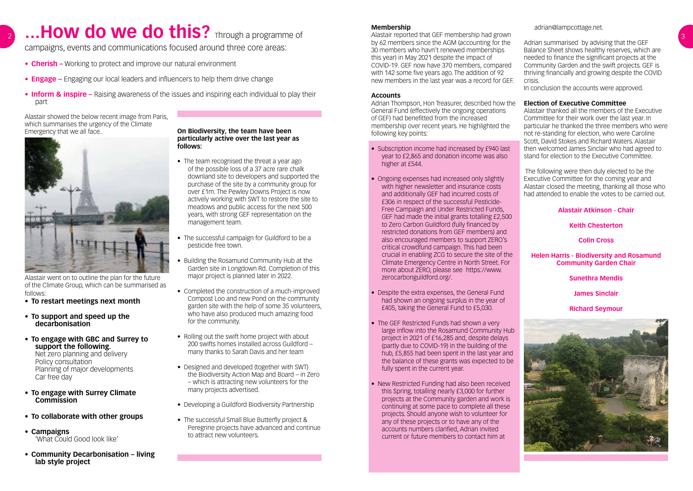# ...How do we do this? Through a programme of

campaigns, events and communications focused around three core areas:

- **• Cherish –** Working to protect and improve our natural environment
- **• Engage –** Engaging our local leaders and influencers to help them drive change
- **• Inform & inspire** Raising awareness of the issues and inspiring each individual to play their part

Alastair showed the below recent image from Paris, which summarises the urgency of the Climate Emergency that we all face.. **On Biodiversity, the team have been** 



### **particularly active over the last year as follows:**

- The team recognised the threat a year ago of the possible loss of a 37 acre rare chalk downland site to developers and supported the purchase of the site by a community group for over £1m. The Pewley Downs Project is now actively working with SWT to restore the site to meadows and public access for the next 500 years, with strong GEF representation on the management team.
- The successful campaign for Guildford to be a pesticide free town.
- Building the Rosamund Community Hub at the Garden site in Longdown Rd. Completion of this major project is planned later in 2022.
- Completed the construction of a much-improved Compost Loo and new Pond on the community garden site with the help of some 35 volunteers, who have also produced much amazing food for the community.
- Rolling out the swift home project with about 200 swifts homes installed across Guildford – many thanks to Sarah Davis and her team
- Designed and developed (together with SWT) the Biodiversity Action Map and Board – in Zero – which is attracting new volunteers for the many projects advertised.
- Developing a Guildford Biodiversity Partnership
- The successful Small Blue Butterfly project & Peregrine projects have advanced and continue to attract new volunteers.

Alastair went on to outline the plan for the future of the Climate Group, which can be summarised as follows:

- **• To restart meetings next month**
- **• To support and speed up the decarbonisation**
- **• To engage with GBC and Surrey to support the following.**  Net zero planning and delivery

Policy consultation Planning of major developments Car free day

- **• To engage with Surrey Climate Commission**
- **• To collaborate with other groups**
- **• Campaigns**  'What Could Good look like'
- **• Community Decarbonisation living lab style project**

#### **Membership**

Alastair reported that GEF membership had grown by 62 members since the AGM (accounting for the 30 members who havn't renewed memberships this year) in May 2021 despite the impact of COVID-19. GEF now have 370 members, compared with 142 some five years ago. The addition of 92 new members in the last year was a record for GEF.

#### **Accounts**

Adrian Thompson, Hon Treasurer, described how the General Fund (effectively the ongoing operations of GEF) had benefitted from the increased membership over recent years. He highlighted the following key points:

- Subscription income had increased by £940 last year to £2,865 and donation income was also higher at £544.
- Ongoing expenses had increased only slightly with higher newsletter and insurance costs and additionally GEF had incurred costs of £306 in respect of the successful Pesticide-Free Campaign and Under Restricted Funds, GEF had made the initial grants totalling £2,500 to Zero Carbon Guildford (fully financed by restricted donations from GEF members) and also encouraged members to support ZERO's critical crowdfund campaign. This had been crucial in enabling ZCG to secure the site of the Climate Emergency Centre in North Street. For more about ZERO, please see https://www. zerocarbonguildford.org/.
- Despite the extra expenses, the General Fund had shown an ongoing surplus in the year of £405, taking the General Fund to £5,030.
- The GEF Restricted Funds had shown a very large inflow into the Rosamund Community Hub project in 2021 of £16,285 and, despite delays (partly due to COVID-19) in the building of the hub, £5,855 had been spent in the last year and the balance of these grants was expected to be fully spent in the current year.
- New Restricted Funding had also been received this Spring, totalling nearly £3,000 for further projects at the Community garden and work is continuing at some pace to complete all these projects. Should anyone wish to volunteer for any of these projects or to have any of the accounts numbers clarified, Adrian invited current or future members to contact him at

adrian@lampcottage.net.

Adrian summarised by advising that the GEF Balance Sheet shows healthy reserves, which are needed to finance the significant projects at the Community Garden and the swift projects. GEF is thriving financially and growing despite the COVID crisis.

In conclusion the accounts were approved.

#### **Election of Executive Committee**

Alastair thanked all the members of the Executive Committee for their work over the last year. In particular he thanked the three members who were not re-standing for election, who were Caroline Scott, David Stokes and Richard Waters. Alastair then welcomed James Sinclair who had agreed to stand for election to the Executive Committee.

 The following were then duly elected to be the Executive Committee for the coming year and Alastair closed the meeting, thanking all those who had attended to enable the votes to be carried out.

#### **Alastair Atkinson - Chair**

#### **Keith Chesterton**

**Colin Cross**

#### **Helen Harris - Biodiversity and Rosamund Community Garden Chair**

#### **Sunethra Mendis**

**James Sinclair**

**Richard Seymour**

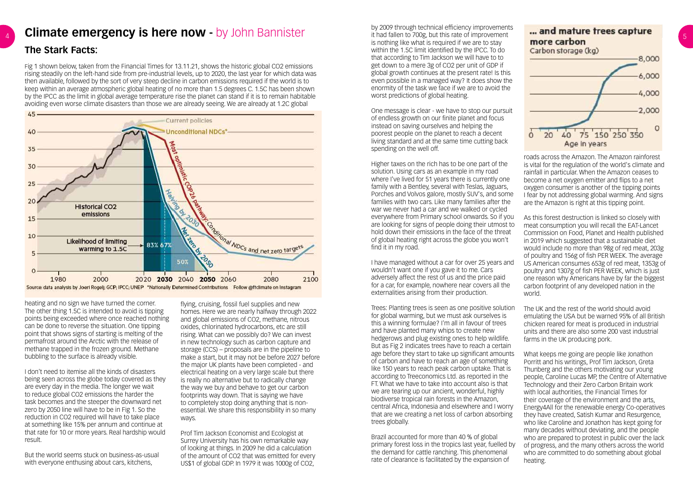### **Climate emergency is here now -** by John Bannister and the order of the and the of improvement **and mature trees capture The Stark Facts:**

Fig 1 shown below, taken from the Financial Times for 13.11.21, shows the historic global CO2 emissions rising steadily on the left-hand side from pre-industrial levels, up to 2020, the last year for which data was then available, followed by the sort of very steep decline in carbon emissions required if the world is to keep within an average atmospheric global heating of no more than 1.5 degrees C. 1.5C has been shown by the IPCC as the limit in global average temperature rise the planet can stand if it is to remain habitable avoiding even worse climate disasters than those we are already seeing. We are already at 1.2C global



heating and no sign we have turned the corner. The other thing 1.5C is intended to avoid is tipping points being exceeded where once reached nothing can be done to reverse the situation. One tipping point that shows signs of starting is melting of the permafrost around the Arctic with the release of methane trapped in the frozen ground. Methane bubbling to the surface is already visible.

I don't need to itemise all the kinds of disasters being seen across the globe today covered as they are every day in the media. The longer we wait to reduce global CO2 emissions the harder the task becomes and the steeper the downward net zero by 2050 line will have to be in Fig 1. So the reduction in CO2 required will have to take place at something like 15% per annum and continue at that rate for 10 or more years. Real hardship would result.

But the world seems stuck on business-as-usual with everyone enthusing about cars, kitchens,

flying, cruising, fossil fuel supplies and new homes. Here we are nearly halfway through 2022 and global emissions of CO2, methane, nitrous oxides, chlorinated hydrocarbons, etc are still rising. What can we possibly do? We can invest in new technology such as carbon capture and storage (CCS) – proposals are in the pipeline to make a start, but it may not be before 2027 before the major UK plants have been completed - and electrical heating on a very large scale but there is really no alternative but to radically change the way we buy and behave to get our carbon footprints way down. That is saying we have to completely stop doing anything that is nonessential. We share this responsibility in so many ways.

Prof Tim Jackson Economist and Ecologist at Surrey University has his own remarkable way of looking at things. In 2009 he did a calculation of the amount of CO2 that was emitted for every US\$1 of global GDP. In 1979 it was 1000g of CO2,

by 2009 through technical efficiency improvements it had fallen to 700g, but this rate of improvement is nothing like what is required if we are to stay within the 1.5C limit identified by the IPCC. To do that according to Tim Jackson we will have to to get down to a mere 3g of CO2 per unit of GDP if global growth continues at the present rate! Is this even possible in a managed way? It does show the enormity of the task we face if we are to avoid the worst predictions of global heating.

One message is clear - we have to stop our pursuit of endless growth on our finite planet and focus instead on saving ourselves and helping the poorest people on the planet to reach a decent living standard and at the same time cutting back spending on the well off.

Higher taxes on the rich has to be one part of the solution. Using cars as an example in my road where I've lived for 51 years there is currently one family with a Bentley, several with Teslas, Jaguars, Porches and Volvos galore, mostly SUV's, and some families with two cars. Like many families after the war we never had a car and we walked or cycled everywhere from Primary school onwards. So if you are looking for signs of people doing their utmost to hold down their emissions in the face of the threat of global heating right across the globe you won't find it in my road.

I have managed without a car for over 25 years and wouldn't want one if you gave it to me. Cars adversely affect the rest of us and the price paid for a car, for example, nowhere near covers all the externalities arising from their production.

Brazil accounted for more than 40 % of global primary forest loss in the tropics last year, fuelled by the demand for cattle ranching. This phenomenal rate of clearance is facilitated by the expansion of



roads across the Amazon. The Amazon rainforest is vital for the regulation of the world's climate and rainfall in particular. When the Amazon ceases to become a net oxygen emitter and flips to a net oxygen consumer is another of the tipping points I fear by not addressing global warming. And signs are the Amazon is right at this tipping point.

Trees: Planting trees is seen as one positive solution for global warming, but we must ask ourselves is this a winning formulae? I'm all in favour of trees and have planted many whips to create new hedgerows and plug existing ones to help wildlife. But as Fig 2 indicates trees have to reach a certain age before they start to take up significant amounts of carbon and have to reach an age of something like 150 years to reach peak carbon uptake. That is according to Treeconomics Ltd. as reported in the FT. What we have to take into account also is that we are tearing up our ancient, wonderful, highly biodiverse tropical rain forests in the Amazon, central Africa, Indonesia and elsewhere and I worry that are we creating a net loss of carbon absorbing trees globally. The UK and the rest of the world should avoid emulating the USA but be warned 95% of all British chicken reared for meat is produced in industrial units and there are also some 200 vast industrial farms in the UK producing pork. What keeps me going are people like Jonathon Porritt and his writings, Prof Tim Jackson, Greta Thunberg and the others motivating our young people, Caroline Lucas MP, the Centre of Alternative Technology and their Zero Carbon Britain work with local authorities, the Financial Times for their coverage of the environment and the arts, Energy4All for the renewable energy Co-operatives they have created, Satish Kumar and Resurgence, who like Caroline and Jonathon has kept going for many decades without deviating, and the people who are prepared to protest in public over the lack of progress, and the many others across the world who are committed to do something about global heating.

As this forest destruction is linked so closely with meat consumption you will recall the EAT-Lancet Commission on Food, Planet and Health published in 2019 which suggested that a sustainable diet would include no more than 98g of red meat, 203g of poultry and 156g of fish PER WEEK. The average US American consumes 653g of red meat, 1353g of poultry and 1307g of fish PER WEEK, which is just one reason why Americans have by far the biggest carbon footprint of any developed nation in the world.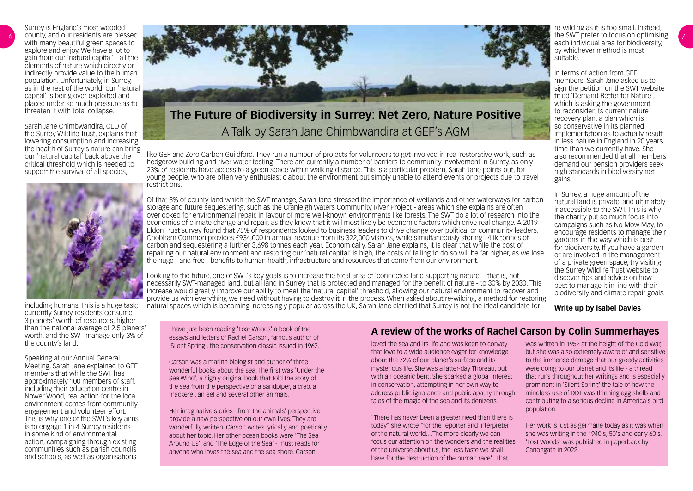6

Surrey is England's most wooded county, and our residents are blessed with many beautiful green spaces to explore and enjoy. We have a lot to gain from our 'natural capital' - all the elements of nature which directly or indirectly provide value to the human population. Unfortunately, in Surrey, as in the rest of the world, our 'natural capital' is being over-exploited and placed under so much pressure as to threaten it with total collapse.

Sarah Jane Chimbwandira, CEO of the Surrey Wildlife Trust, explains that lowering consumption and increasing the health of Surrey's nature can bring our 'natural capital' back above the critical threshold which is needed to support the survival of all species,



I have just been reading 'Lost Woods' a book of the essays and letters of Rachel Carson, famous author of 'Silent Spring', the conservation classic issued in 1962.

Carson was a marine biologist and author of three wonderful books about the sea. The first was 'Under the Sea Wind', a highly original book that told the story of the sea from the perspective of a sandpiper, a crab, a mackerel, an eel and several other animals.

Her imaginative stories from the animals' perspective provide a new perspective on our own lives. They are wonderfully written. Carson writes lyrically and poetically about her topic. Her other ocean books were 'The Sea Around Us', and 'The Edge of the Sea' - must reads for anyone who loves the sea and the sea shore. Carson

including humans. This is a huge task; currently Surrey residents consume 3 planets' worth of resources, higher than the national average of 2.5 planets' worth, and the SWT manage only 3% of the county's land.

Speaking at our Annual General Meeting, Sarah Jane explained to GEF members that while the SWT has approximately 100 members of staff, including their education centre in Nower Wood, real action for the local environment comes from community engagement and volunteer effort. This is why one of the SWT's key aims is to engage 1 in 4 Surrey residents in some kind of environmental action, campaigning through existing communities such as parish councils and schools, as well as organisations

like GEF and Zero Carbon Guildford. They run a number of projects for volunteers to get involved in real restorative work, such as hedgerow building and river water testing. There are currently a number of barriers to community involvement in Surrey, as only 23% of residents have access to a green space within walking distance. This is a particular problem, Sarah Jane points out, for young people, who are often very enthusiastic about the environment but simply unable to attend events or projects due to travel restrictions.

Of that 3% of county land which the SWT manage, Sarah Jane stressed the importance of wetlands and other waterways for carbon storage and future sequestering, such as the Cranleigh Waters Community River Project - areas which she explains are often overlooked for environmental repair, in favour of more well-known environments like forests. The SWT do a lot of research into the economics of climate change and repair, as they know that it will most likely be economic factors which drive real change. A 2019 Eldon Trust survey found that 75% of respondents looked to business leaders to drive change over political or community leaders. Chobham Common provides £934,000 in annual revenue from its 322,000 visitors, while simultaneously storing 141k tonnes of carbon and sequestering a further 3,698 tonnes each year. Economically, Sarah Jane explains, it is clear that while the cost of repairing our natural environment and restoring our 'natural capital' is high, the costs of failing to do so will be far higher, as we lose the huge - and free - benefits to human health, infrastructure and resources that come from our environment.

Looking to the future, one of SWT's key goals is to increase the total area of 'connected land supporting nature' - that is, not necessarily SWT-managed land, but all land in Surrey that is protected and managed for the benefit of nature - to 30% by 2030. This increase would greatly improve our ability to meet the 'natural capital' threshold, allowing our natural environment to recover and provide us with everything we need without having to destroy it in the process. When asked about re-wilding, a method for restoring natural spaces which is becoming increasingly popular across the UK, Sarah Jane clarified that Surrey is not the ideal candidate for

> loved the sea and its life and was keen to convey that love to a wide audience eager for knowledge about the 72% of our planet's surface and its mysterious life. She was a latter-day Thoreau, but with an oceanic bent. She sparked a global interest in conservation, attempting in her own way to address public ignorance and public apathy through tales of the magic of the sea and its denizens.

> "There has never been a greater need than there is today" she wrote "for the reporter and interpreter of the natural world....The more clearly we can focus our attention on the wonders and the realities of the universe about us, the less taste we shall have for the destruction of the human race". That

was written in 1952 at the height of the Cold War, but she was also extremely aware of and sensitive to the immense damage that our greedy activities were doing to our planet and its life - a thread that runs throughout her writings and is especially prominent in 'Silent Spring' the tale of how the mindless use of DDT was thinning egg shells and contributing to a serious decline in America's bird population.

Her work is just as germane today as it was when she was writing in the 1940's, 50's and early 60's. 'Lost Woods' was published in paperback by Canongate in 2022.

re-wilding as it is too small. Instead, the SWT prefer to focus on optimising each individual area for biodiversity, by whichever method is most suitable.

In terms of action from GEF members, Sarah Jane asked us to sign the petition on the SWT website titled 'Demand Better for Nature', which is asking the government to reconsider its current nature recovery plan, a plan which is so conservative in its planned implementation as to actually result in less nature in England in 20 years time than we currently have. She also recommended that all members demand our pension providers seek high standards in biodiversity net gains.

In Surrey, a huge amount of the natural land is private, and ultimately inaccessible to the SWT. This is why the charity put so much focus into campaigns such as No Mow May, to encourage residents to manage their gardens in the way which is best for biodiversity. If you have a garden or are involved in the management of a private green space, try visiting the Surrey Wildlife Trust website to discover tips and advice on how best to manage it in line with their biodiversity and climate repair goals.

#### **Write up by Isabel Davies**



### **A review of the works of Rachel Carson by Colin Summerhayes**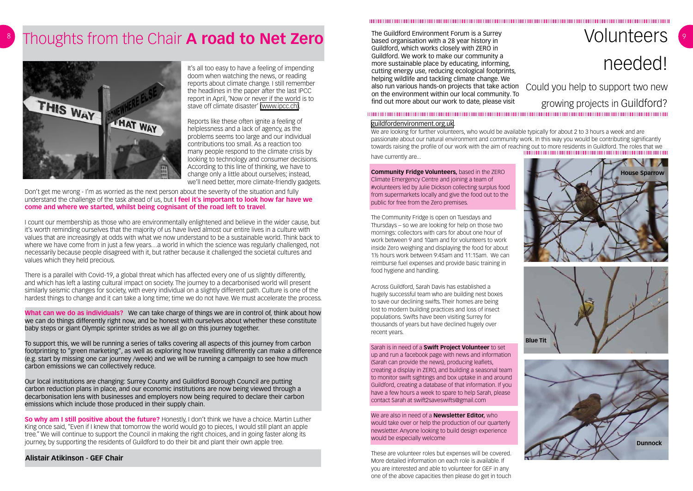# needed!

# Could you help to support two new growing projects in Guildford?

The Guildford Environment Forum is a Surrey based organisation with a 28 year history in Guildford, which works closely with ZERO in Guildford. We work to make our community a more sustainable place by educating, informing, cutting energy use, reducing ecological footprints, helping wildlife and tackling climate change. We also run various hands-on projects that take action on the environment within our local community. To find out more about our work to date, please visit

#### 

We are looking for further volunteers, who would be available typically for about 2 to 3 hours a week and are passionate about our natural environment and community work. In this way you would be contributing significantly towards raising the profile of our work with the aim of reaching out to more residents in Guildford. The roles that we have currently are...

#### [guildfordenvironment.org.uk](http://guildfordenvironment.org.uk).

**Community Fridge Volunteers,** based in the ZERO Climate Emergency Centre and joining a team of #volunteers led by Julie Dickson collecting surplus food from supermarkets locally and give the food out to the public for free from the Zero premises.

The Community Fridge is open on Tuesdays and Thursdays – so we are looking for help on those two mornings: collectors with cars for about one hour of work between 9 and 10am and for volunteers to work inside Zero weighing and displaying the food for about 1½ hours work between 9:45am and 11:15am. We can reimburse fuel expenses and provide basic training in food hygiene and handling.

Across Guildford, Sarah Davis has established a hugely successful team who are building nest boxes to save our declining swifts. Their homes are being lost to modern building practices and loss of insect populations. Swifts have been visiting Surrey for thousands of years but have declined hugely over recent years.

Sarah is in need of a **Swift Project Volunteer** to set

up and run a facebook page with news and information (Sarah can provide the news), producing leaflets, creating a display in ZERO, and building a seasonal team to monitor swift sightings and box uptake in and around Guildford, creating a database of that information. If you have a few hours a week to spare to help Sarah, please contact Sarah at swift2saveswifts@gmail.com

We are also in need of a **Newsletter Editor,** who would take over or help the production of our quarterly newsletter. Anyone looking to build design experience would be especially welcome

These are volunteer roles but expenses will be covered. More detailed information on each role is available. If you are interested and able to volunteer for GEF in any one of the above capacities then please do get in touch

# Volunteers







# <sup>8</sup> Thoughts from the Chair **A road to Net Zero**



It's all too easy to have a feeling of impending doom when watching the news, or reading reports about climate change. I still remember the headlines in the paper after the last IPCC report in April, 'Now or never if the world is to stave off climate disaster' [\(www.ipcc.ch\)](http://(www.ipcc.ch)).

**So why am I still positive about the future?** Honestly, I don't think we have a choice. Martin Luther King once said, "Even if I knew that tomorrow the world would go to pieces, I would still plant an apple tree." We will continue to support the Council in making the right choices, and in going faster along its journey, by supporting the residents of Guildford to do their bit and plant their own apple tree.

Reports like these often ignite a feeling of helplessness and a lack of agency, as the problems seems too large and our individual contributions too small. As a reaction too many people respond to the climate crisis by looking to technology and consumer decisions. According to this line of thinking, we have to change only a little about ourselves; instead, we'll need better, more climate-friendly gadgets.

Don't get me wrong - I'm as worried as the next person about the severity of the situation and fully understand the challenge of the task ahead of us, but **I feel it's important to look how far have we come and where we started, whilst being cognisant of the road left to travel**.

I count our membership as those who are environmentally enlightened and believe in the wider cause, but it's worth reminding ourselves that the majority of us have lived almost our entire lives in a culture with values that are increasingly at odds with what we now understand to be a sustainable world. Think back to where we have come from in just a few years…a world in which the science was regularly challenged, not necessarily because people disagreed with it, but rather because it challenged the societal cultures and values which they held precious.

There is a parallel with Covid-19, a global threat which has affected every one of us slightly differently, and which has left a lasting cultural impact on society. The journey to a decarbonised world will present similarly seismic changes for society, with every individual on a slightly different path. Culture is one of the hardest things to change and it can take a long time; time we do not have. We must accelerate the process.

**What can we do as individuals?** We can take charge of things we are in control of, think about how we can do things differently right now, and be honest with ourselves about whether these constitute baby steps or giant Olympic sprinter strides as we all go on this journey together.

To support this, we will be running a series of talks covering all aspects of this journey from carbon footprinting to "green marketing", as well as exploring how travelling differently can make a difference (e.g. start by missing one car journey /week) and we will be running a campaign to see how much carbon emissions we can collectively reduce.

Our local institutions are changing: Surrey County and Guildford Borough Council are putting carbon reduction plans in place, and our economic institutions are now being viewed through a decarbonisation lens with businesses and employers now being required to declare their carbon emissions which include those produced in their supply chain.

**Alistair Atikinson - GEF Chair**

####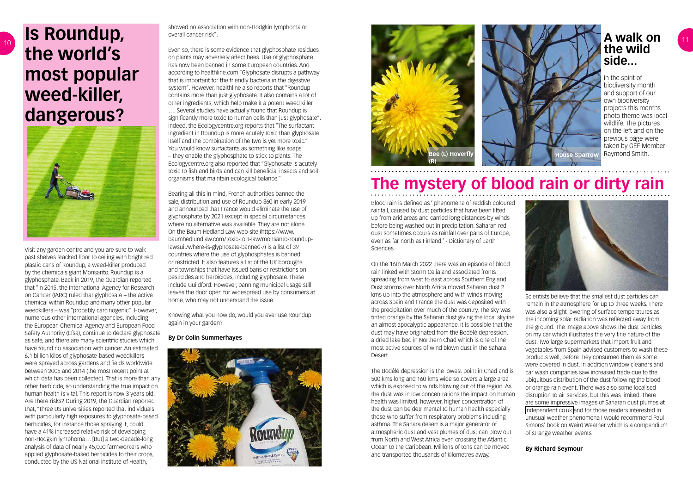Visit any garden centre and you are sure to walk past shelves stacked floor to ceiling with bright red plastic cans of Roundup, a weed-killer produced by the chemicals giant Monsanto. Roundup is a glyphosphate. Back in 2019, the Guardian reported that "In 2015, the International Agency for Research on Cancer (IARC) ruled that glyphosate – the active chemical within Roundup and many other popular weedkillers – was "probably carcinogenic". However, numerous other international agencies, including the European Chemical Agency and European Food Safety Authority (Efsa), continue to declare glyphosate as safe, and there are many scientific studies which have found no association with cancer. An estimated 6.1 billion kilos of glyphosate-based weedkillers were sprayed across gardens and fields worldwide between 2005 and 2014 (the most recent point at which data has been collected). That is more than any other herbicide, so understanding the true impact on human health is vital. This report is now 3 years old. Are there risks? During 2019, the Guardian reported that, "three US universities reported that individuals with particularly high exposures to glyphosate-based herbicides, for instance those spraying it, could have a 41% increased relative risk of developing non-Hodgkin lymphoma… [But] a two-decade-long analysis of data of nearly 45,000 farmworkers who applied glyphosate-based herbicides to their crops, conducted by the US National Institute of Health,

# **Is Roundup, the world's most popular weed-killer, dangerous?**



showed no association with non-Hodgkin lymphoma or overall cancer risk".

Even so, there is some evidence that glyphosphate residues on plants may adversely affect bees. Use of glyphosphate has now been banned in some European countries. And according to healthline.com "Glyphosate disrupts a pathway that is important for the friendly bacteria in the digestive system". However, healthline also reports that "Roundup contains more than just glyphosate. It also contains a lot of other ingredients, which help make it a potent weed killer

…. Several studies have actually found that Roundup is significantly more toxic to human cells than just glyphosate". Indeed, the Ecologycentre.org reports that "The surfactant ingredient in Roundup is more acutely toxic than glyphosate itself and the combination of the two is yet more toxic." You would know surfactants as something like soaps – they enable the glyphosphate to stick to plants. The Ecologycentre.org also reported that "Glyphosate is acutely toxic to fish and birds and can kill beneficial insects and soil organisms that maintain ecological balance."

Bearing all this in mind, French authorities banned the sale, distribution and use of Roundup 360 in early 2019 and announced that France would eliminate the use of glyphosphate by 2021 except in special circumstances where no alternative was available. They are not alone. On the Baum Hedland Law web site (https://www. baumhedlundlaw.com/toxic-tort-law/monsanto-rounduplawsuit/where-is-glyphosate-banned-/) is a list of 39 countries where the use of glyphosphates is banned or restricted. It also features a list of the UK boroughs and townships that have issued bans or restrictions on pesticides and herbicides, including glyphosate. These include Guildford. However, banning municipal usage still leaves the door open for widespread use by consumers at home, who may not understand the issue.



Knowing what you now do, would you ever use Roundup again in your garden?

#### **By Dr Colin Summerhayes**



Scientists believe that the smallest dust particles can remain in the atmosphere for up to three weeks. There was also a slight lowering of surface temperatures as the incoming solar radiation was reflected away from the ground. The image above shows the dust particles on my car which illustrates the very fine nature of the dust. Two large supermarkets that import fruit and vegetables from Spain advised customers to wash these products well, before they consumed them as some were covered in dust. In addition window cleaners and car wash companies saw increased trade due to the ubiquitous distribution of the dust following the blood or orange rain event. There was also some localised disruption to air services, but this was limited. There are some impressive images of Saharan dust plumes at [independent.co.uk a](http://independent.co.uk )nd for those readers interested in unusual weather phenomena I would recommend Paul Simons' book on Weird Weather which is a compendium of strange weather events.

#### **By Richard Seymour**

Blood rain is defined as ' phenomena of reddish coloured rainfall, caused by dust particles that have been lifted up from arid areas and carried long distances by winds before being washed out in precipitation. Saharan red dust sometimes occurs as rainfall over parts of Europe, even as far north as Finland.' - Dictionary of Earth Sciences.

On the 16th March 2022 there was an episode of blood rain linked with Storm Celia and associated fronts spreading from west to east across Southern England. Dust storms over North Africa moved Saharan dust 2 kms up into the atmosphere and with winds moving across Spain and France the dust was deposited with the precipitation over much of the country. The sky was tinted orange by the Saharan dust giving the local skyline an almost apocalyptic appearance. It is possible that the dust may have originated from the Bodélé depression, a dried lake bed in Northern Chad which is one of the most active sources of wind blown dust in the Sahara Desert.

The Bodélé depression is the lowest point in Chad and is 500 kms long and 160 kms wide so covers a large area which is exposed to winds blowing out of the region. As the dust was in low concentrations the impact on human health was limited, however, higher concentration of the dust can be detrimental to human health especially those who suffer from respiratory problems including asthma. The Sahara desert is a major generator of atmospheric dust and vast plumes of dust can blow out from North and West Africa even crossing the Atlantic Ocean to the Caribbean. Millions of tons can be moved and transported thousands of kilometres away.

# **The mystery of blood rain or dirty rain**



### **A walk on the wild side...**

In the spirit of biodiversity month and support of our own biodiversity projects this months photo theme was local wildlife. The pictures on the left and on the previous page were taken by GEF Member Raymond Smith.